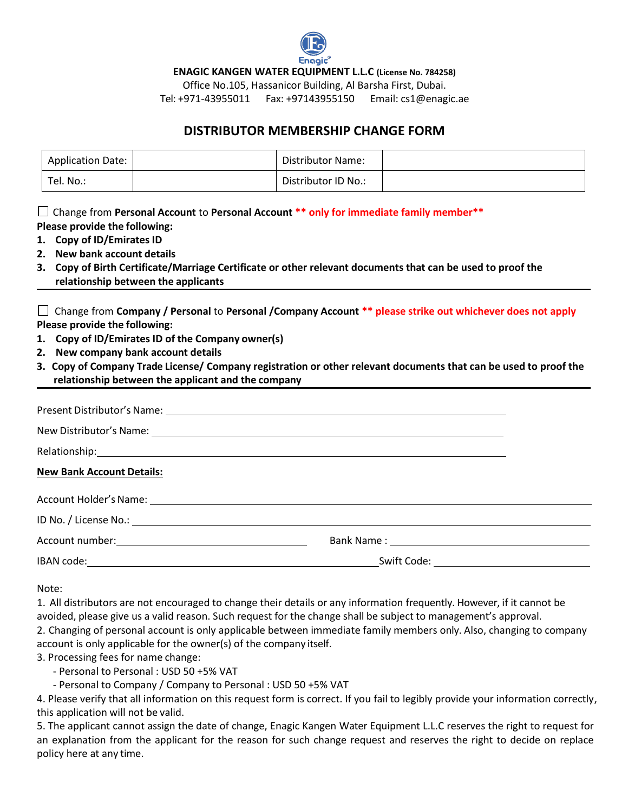

**ENAGIC KANGEN WATER EQUIPMENT L.L.C (License No. 784258)**

Office No.105, Hassanicor Building, Al Barsha First, Dubai.

Tel: +971-43955011 Fax: +97143955150 Email: [cs1@enagic.ae](mailto:cs1@enagic.ae)

## **DISTRIBUTOR MEMBERSHIP CHANGE FORM**

| Application Date: | <b>Distributor Name:</b> |  |
|-------------------|--------------------------|--|
| Tel. No.:         | Distributor ID No.:      |  |

Change from **Personal Account** to **Personal Account \*\* only for immediate family member\*\* Please provide the following:**

- **1. Copy of ID/Emirates ID**
- **2. New bank account details**
- **3. Copy of Birth Certificate/Marriage Certificate or other relevant documents that can be used to proof the relationship between the applicants**

|                               | □ Change from Company / Personal to Personal / Company Account ** please strike out whichever does not apply |
|-------------------------------|--------------------------------------------------------------------------------------------------------------|
| Please provide the following: |                                                                                                              |

- **1. Copy of ID/Emirates ID of the Company owner(s)**
- **2. New company bank account details**
- **3. Copy of Company Trade License/ Company registration or other relevant documents that can be used to proof the relationship between the applicant and the company**

| Relationship: 1999 - 1999 - 1999 - 1999 - 1999 - 1999 - 1999 - 1999 - 1999 - 1999 - 1999 - 1999 - 1999 - 1999 |                                                                                                               |  |  |  |  |
|---------------------------------------------------------------------------------------------------------------|---------------------------------------------------------------------------------------------------------------|--|--|--|--|
| <b>New Bank Account Details:</b>                                                                              |                                                                                                               |  |  |  |  |
|                                                                                                               |                                                                                                               |  |  |  |  |
| ID No. / License No.: 1998                                                                                    |                                                                                                               |  |  |  |  |
|                                                                                                               | Bank Name : 2008 2010 2020 2020 2020 2021 2022 2021 2022 2021 2022 2022 2022 2022 2022 2022 2022 2022 2022 20 |  |  |  |  |
|                                                                                                               |                                                                                                               |  |  |  |  |

Note:

1. All distributors are not encouraged to change their details or any information frequently. However, if it cannot be avoided, please give us a valid reason. Such request for the change shall be subject to management's approval.

2. Changing of personal account is only applicable between immediate family members only. Also, changing to company account is only applicable for the owner(s) of the company itself.

3. Processing fees for name change:

- Personal to Personal : USD 50 +5% VAT
- Personal to Company / Company to Personal : USD 50 +5% VAT

4. Please verify that all information on this request form is correct. If you fail to legibly provide your information correctly, this application will not be valid.

5. The applicant cannot assign the date of change, Enagic Kangen Water Equipment L.L.C reserves the right to request for an explanation from the applicant for the reason for such change request and reserves the right to decide on replace policy here at any time.